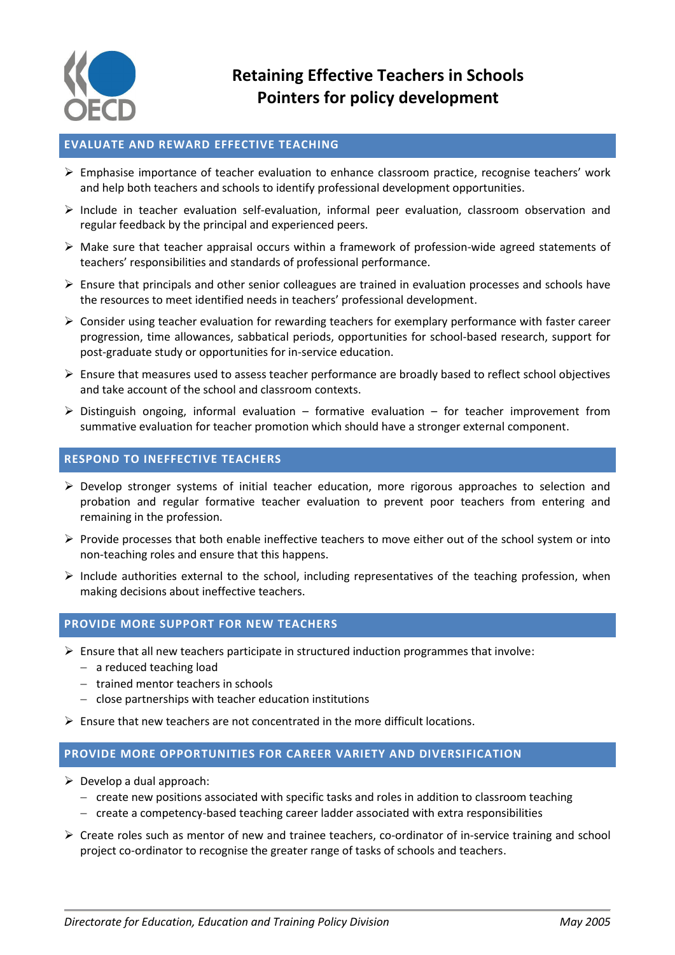

## **EVALUATE AND REWARD EFFECTIVE TEACHING**

- $\triangleright$  Emphasise importance of teacher evaluation to enhance classroom practice, recognise teachers' work and help both teachers and schools to identify professional development opportunities.
- $\triangleright$  Include in teacher evaluation self-evaluation, informal peer evaluation, classroom observation and regular feedback by the principal and experienced peers.
- $\triangleright$  Make sure that teacher appraisal occurs within a framework of profession-wide agreed statements of teachers' responsibilities and standards of professional performance.
- $\triangleright$  Ensure that principals and other senior colleagues are trained in evaluation processes and schools have the resources to meet identified needs in teachers' professional development.
- $\triangleright$  Consider using teacher evaluation for rewarding teachers for exemplary performance with faster career progression, time allowances, sabbatical periods, opportunities for school-based research, support for post-graduate study or opportunities for in-service education.
- $\triangleright$  Ensure that measures used to assess teacher performance are broadly based to reflect school objectives and take account of the school and classroom contexts.
- $\triangleright$  Distinguish ongoing, informal evaluation formative evaluation for teacher improvement from summative evaluation for teacher promotion which should have a stronger external component.

## **RESPOND TO INEFFECTIVE TEACHERS**

- $\triangleright$  Develop stronger systems of initial teacher education, more rigorous approaches to selection and probation and regular formative teacher evaluation to prevent poor teachers from entering and remaining in the profession.
- $\triangleright$  Provide processes that both enable ineffective teachers to move either out of the school system or into non-teaching roles and ensure that this happens.
- $\triangleright$  Include authorities external to the school, including representatives of the teaching profession, when making decisions about ineffective teachers.

#### **PROVIDE MORE SUPPORT FOR NEW TEACHERS**

- $\triangleright$  Ensure that all new teachers participate in structured induction programmes that involve:
	- a reduced teaching load
	- $-$  trained mentor teachers in schools
	- $-$  close partnerships with teacher education institutions
- Ensure that new teachers are not concentrated in the more difficult locations.

### **PROVIDE MORE OPPORTUNITIES FOR CAREER VARIETY AND DIVERSIFICATION**

- $\triangleright$  Develop a dual approach:
	- $-$  create new positions associated with specific tasks and roles in addition to classroom teaching
	- $-$  create a competency-based teaching career ladder associated with extra responsibilities
- $\triangleright$  Create roles such as mentor of new and trainee teachers, co-ordinator of in-service training and school project co-ordinator to recognise the greater range of tasks of schools and teachers.